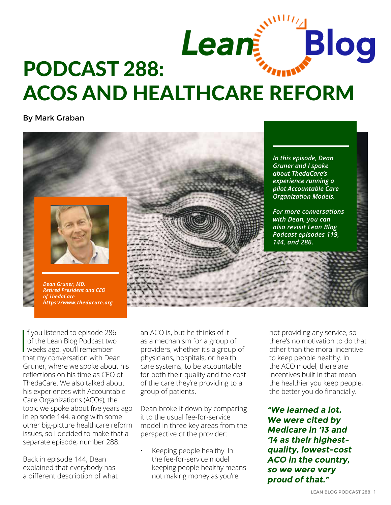

By Mark Graban



 $\begin{bmatrix} 1 \\ 1 \\ 1 \end{bmatrix}$ f you listened to episode 286 of the Lean Blog Podcast two weeks ago, you'll remember that my conversation with Dean Gruner, where we spoke about his reflections on his time as CEO of ThedaCare. We also talked about his experiences with Accountable Care Organizations (ACOs), the topic we spoke abou[t five years ago](http://www.leanblog.org/2012/04/podcast-144-dr-dean-gruner-lean-acos-at-thedacare/)  [in episode 144](http://www.leanblog.org/2012/04/podcast-144-dr-dean-gruner-lean-acos-at-thedacare/), along with some other big-picture healthcare reform issues, so I decided to make that a separate episode, number 288.

Back in [episode 144,](http://www.leanblog.org/2012/04/podcast-144-dr-dean-gruner-lean-acos-at-thedacare/) Dean explained that everybody has a different description of what an ACO is, but he thinks of it as a mechanism for a group of providers, whether it's a group of physicians, hospitals, or health care systems, to be accountable for both their quality and the cost of the care they're providing to a group of patients.

Dean broke it down by comparing it to the usual fee-for-service model in three key areas from the perspective of the provider:

• Keeping people healthy: In the fee-for-service model keeping people healthy means not making money as you're

not providing any service, so there's no motivation to do that other than the moral incentive to keep people healthy. In the ACO model, there are incentives built in that mean the healthier you keep people, the better you do financially.

**"We learned a lot. We were cited by Medicare in '13 and '14 as their highestquality, lowest-cost ACO in the country, so we were very proud of that."**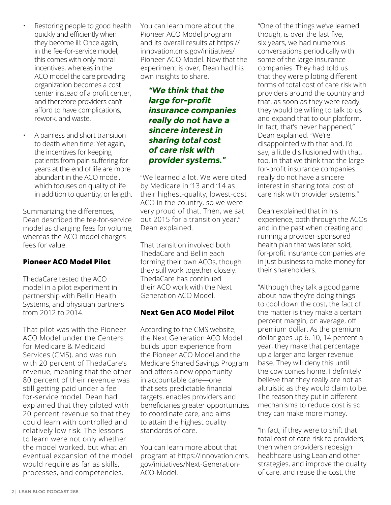- Restoring people to good health quickly and efficiently when they become ill: Once again, in the fee-for-service model, this comes with only moral incentives, whereas in the ACO model the care providing organization becomes a cost center instead of a profit center, and therefore providers can't afford to have complications, rework, and waste.
- A painless and short transition to death when time: Yet again, the incentives for keeping patients from pain suffering for years at the end of life are more abundant in the ACO model, which focuses on quality of life in addition to quantity, or length.

Summarizing the differences, Dean described the fee-for-service model as charging fees for volume, whereas the ACO model charges fees for value.

#### **Pioneer ACO Model Pilot**

ThedaCare tested the ACO model in a pilot experiment in partnership with [Bellin Health](https://www.bellin.org/)  [Systems,](https://www.bellin.org/) and physician partners from 2012 to 2014.

That pilot was with the [Pioneer](https://innovation.cms.gov/initiatives/Pioneer-ACO-Model)  [ACO Model under the Centers](https://innovation.cms.gov/initiatives/Pioneer-ACO-Model)  [for Medicare & Medicaid](https://innovation.cms.gov/initiatives/Pioneer-ACO-Model)  [Services \(CMS\)](https://innovation.cms.gov/initiatives/Pioneer-ACO-Model), and was run with 20 percent of ThedaCare's revenue, meaning that the other 80 percent of their revenue was still getting paid under a feefor-service model. Dean had explained that they piloted with 20 percent revenue so that they could learn with controlled and relatively low risk. The lessons to learn were not only whether the model worked, but what an eventual expansion of the model would require as far as skills, processes, and competencies.

[You can learn more about the](https://innovation.cms.gov/initiatives/Pioneer-ACO-Model)  [Pioneer ACO Model program](https://innovation.cms.gov/initiatives/Pioneer-ACO-Model)  [and its overall results at https://](https://innovation.cms.gov/initiatives/Pioneer-ACO-Model) [innovation.cms.gov/initiatives/](https://innovation.cms.gov/initiatives/Pioneer-ACO-Model) [Pioneer-ACO-Model](https://innovation.cms.gov/initiatives/Pioneer-ACO-Model). Now that the experiment is over, Dean had his own insights to share.

# **"We think that the large for‑profit insurance companies really do not have a sincere interest in sharing total cost of care risk with provider systems."**

"We learned a lot. We were cited by Medicare in '13 and '14 as their highest-quality, lowest-cost ACO in the country, so we were very proud of that. Then, we sat out 2015 for a transition year," Dean explained.

That transition involved both ThedaCare and Bellin each forming their own ACOs, though they still work together closely. ThedaCare has continued their ACO work with the Next Generation ACO Model.

## **Next Gen ACO Model Pilot**

According to the CMS website, the [Next Generation ACO Model](https://innovation.cms.gov/initiatives/Next-Generation-ACO-Model)  builds upon experience from the Pioneer ACO Model and the Medicare Shared Savings Program and offers a new opportunity in accountable care—one that sets predictable financial targets, enables providers and beneficiaries greater opportunities to coordinate care, and aims to attain the highest quality standards of care.

[You can learn more about that](https://innovation.cms.gov/initiatives/Next-Generation-ACO-Model)  [program at https://innovation.cms.](https://innovation.cms.gov/initiatives/Next-Generation-ACO-Model) [gov/initiatives/Next-Generation-](https://innovation.cms.gov/initiatives/Next-Generation-ACO-Model)[ACO-Model.](https://innovation.cms.gov/initiatives/Next-Generation-ACO-Model) 

"One of the things we've learned though, is over the last five, six years, we had numerous conversations periodically with some of the large insurance companies. They had told us that they were piloting different forms of total cost of care risk with providers around the country and that, as soon as they were ready, they would be willing to talk to us and expand that to our platform. In fact, that's never happened," Dean explained. "We're disappointed with that and, I'd say, a little disillusioned with that, too, in that we think that the large for-profit insurance companies really do not have a sincere interest in sharing total cost of care risk with provider systems."

Dean explained that in his experience, both through the ACOs and in the past when creating and running a provider-sponsored health plan that was later sold, for-profit insurance companies are in just business to make money for their shareholders.

"Although they talk a good game about how they're doing things to cool down the cost, the fact of the matter is they make a certain percent margin, on average, off premium dollar. As the premium dollar goes up 6, 10, 14 percent a year, they make that percentage up a larger and larger revenue base. They will deny this until the cow comes home. I definitely believe that they really are not as altruistic as they would claim to be. The reason they put in different mechanisms to reduce cost is so they can make more money.

"In fact, if they were to shift that total cost of care risk to providers, then when providers redesign healthcare using Lean and other strategies, and improve the quality of care, and reuse the cost, the